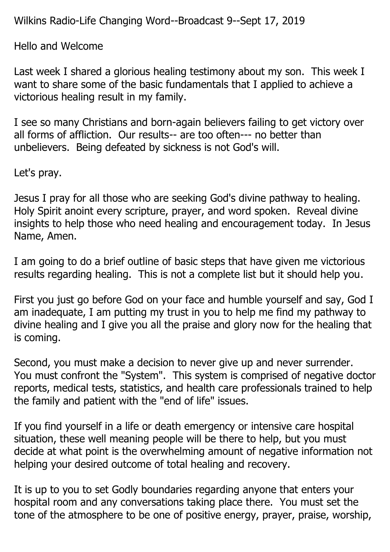Wilkins Radio-Life Changing Word--Broadcast 9--Sept 17, 2019

Hello and Welcome

Last week I shared a glorious healing testimony about my son. This week I want to share some of the basic fundamentals that I applied to achieve a victorious healing result in my family.

I see so many Christians and born-again believers failing to get victory over all forms of affliction. Our results-- are too often--- no better than unbelievers. Being defeated by sickness is not God's will.

Let's pray.

Jesus I pray for all those who are seeking God's divine pathway to healing. Holy Spirit anoint every scripture, prayer, and word spoken. Reveal divine insights to help those who need healing and encouragement today. In Jesus Name, Amen.

I am going to do a brief outline of basic steps that have given me victorious results regarding healing. This is not a complete list but it should help you.

First you just go before God on your face and humble yourself and say, God I am inadequate, I am putting my trust in you to help me find my pathway to divine healing and I give you all the praise and glory now for the healing that is coming.

Second, you must make a decision to never give up and never surrender. You must confront the "System". This system is comprised of negative doctor reports, medical tests, statistics, and health care professionals trained to help the family and patient with the "end of life" issues.

If you find yourself in a life or death emergency or intensive care hospital situation, these well meaning people will be there to help, but you must decide at what point is the overwhelming amount of negative information not helping your desired outcome of total healing and recovery.

It is up to you to set Godly boundaries regarding anyone that enters your hospital room and any conversations taking place there. You must set the tone of the atmosphere to be one of positive energy, prayer, praise, worship,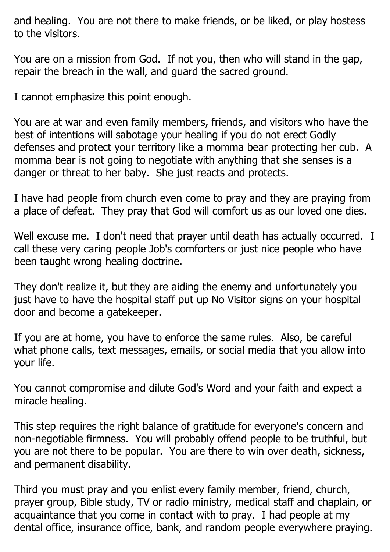and healing. You are not there to make friends, or be liked, or play hostess to the visitors.

You are on a mission from God. If not you, then who will stand in the gap, repair the breach in the wall, and guard the sacred ground.

I cannot emphasize this point enough.

You are at war and even family members, friends, and visitors who have the best of intentions will sabotage your healing if you do not erect Godly defenses and protect your territory like a momma bear protecting her cub. A momma bear is not going to negotiate with anything that she senses is a danger or threat to her baby. She just reacts and protects.

I have had people from church even come to pray and they are praying from a place of defeat. They pray that God will comfort us as our loved one dies.

Well excuse me. I don't need that prayer until death has actually occurred. I call these very caring people Job's comforters or just nice people who have been taught wrong healing doctrine.

They don't realize it, but they are aiding the enemy and unfortunately you just have to have the hospital staff put up No Visitor signs on your hospital door and become a gatekeeper.

If you are at home, you have to enforce the same rules. Also, be careful what phone calls, text messages, emails, or social media that you allow into your life.

You cannot compromise and dilute God's Word and your faith and expect a miracle healing.

This step requires the right balance of gratitude for everyone's concern and non-negotiable firmness. You will probably offend people to be truthful, but you are not there to be popular. You are there to win over death, sickness, and permanent disability.

Third you must pray and you enlist every family member, friend, church, prayer group, Bible study, TV or radio ministry, medical staff and chaplain, or acquaintance that you come in contact with to pray. I had people at my dental office, insurance office, bank, and random people everywhere praying.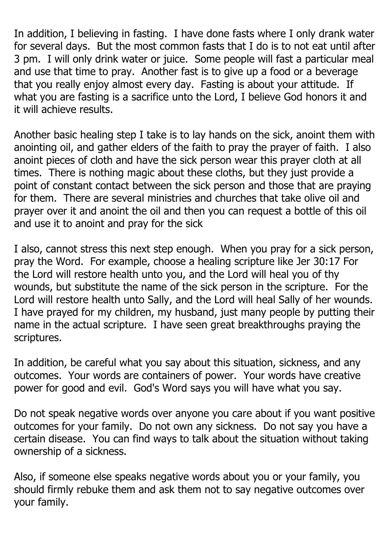In addition, I believing in fasting. I have done fasts where I only drank water for several days. But the most common fasts that I do is to not eat until after 3 pm. I will only drink water or juice. Some people will fast a particular meal and use that time to pray. Another fast is to give up a food or a beverage that you really enjoy almost every day. Fasting is about your attitude. If what you are fasting is a sacrifice unto the Lord, I believe God honors it and it will achieve results.

Another basic healing step I take is to lay hands on the sick, anoint them with anointing oil, and gather elders of the faith to pray the prayer of faith. I also anoint pieces of cloth and have the sick person wear this prayer cloth at all times. There is nothing magic about these cloths, but they just provide a point of constant contact between the sick person and those that are praying for them. There are several ministries and churches that take olive oil and prayer over it and anoint the oil and then you can request a bottle of this oil and use it to anoint and pray for the sick

I also, cannot stress this next step enough. When you pray for a sick person, pray the Word. For example, choose a healing scripture like Jer 30:17 For the Lord will restore health unto you, and the Lord will heal you of thy wounds, but substitute the name of the sick person in the scripture. For the Lord will restore health unto Sally, and the Lord will heal Sally of her wounds. I have prayed for my children, my husband, just many people by putting their name in the actual scripture. I have seen great breakthroughs praying the scriptures.

In addition, be careful what you say about this situation, sickness, and any outcomes. Your words are containers of power. Your words have creative power for good and evil. God's Word says you will have what you say.

Do not speak negative words over anyone you care about if you want positive outcomes for your family. Do not own any sickness. Do not say you have a certain disease. You can find ways to talk about the situation without taking ownership of a sickness.

Also, if someone else speaks negative words about you or your family, you should firmly rebuke them and ask them not to say negative outcomes over your family.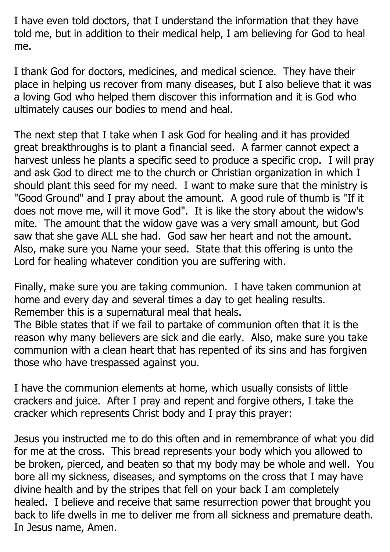I have even told doctors, that I understand the information that they have told me, but in addition to their medical help, I am believing for God to heal me.

I thank God for doctors, medicines, and medical science. They have their place in helping us recover from many diseases, but I also believe that it was a loving God who helped them discover this information and it is God who ultimately causes our bodies to mend and heal.

The next step that I take when I ask God for healing and it has provided great breakthroughs is to plant a financial seed. A farmer cannot expect a harvest unless he plants a specific seed to produce a specific crop. I will pray and ask God to direct me to the church or Christian organization in which I should plant this seed for my need. I want to make sure that the ministry is "Good Ground" and I pray about the amount. A good rule of thumb is "If it does not move me, will it move God". It is like the story about the widow's mite. The amount that the widow gave was a very small amount, but God saw that she gave ALL she had. God saw her heart and not the amount. Also, make sure you Name your seed. State that this offering is unto the Lord for healing whatever condition you are suffering with.

Finally, make sure you are taking communion. I have taken communion at home and every day and several times a day to get healing results. Remember this is a supernatural meal that heals.

The Bible states that if we fail to partake of communion often that it is the reason why many believers are sick and die early. Also, make sure you take communion with a clean heart that has repented of its sins and has forgiven those who have trespassed against you.

I have the communion elements at home, which usually consists of little crackers and juice. After I pray and repent and forgive others, I take the cracker which represents Christ body and I pray this prayer:

Jesus you instructed me to do this often and in remembrance of what you did for me at the cross. This bread represents your body which you allowed to be broken, pierced, and beaten so that my body may be whole and well. You bore all my sickness, diseases, and symptoms on the cross that I may have divine health and by the stripes that fell on your back I am completely healed. I believe and receive that same resurrection power that brought you back to life dwells in me to deliver me from all sickness and premature death. In Jesus name, Amen.